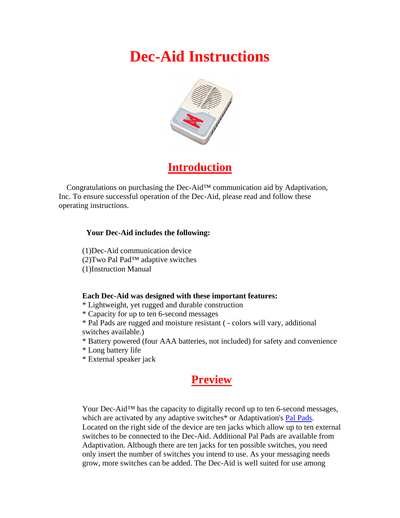# **Dec-Aid Instructions**



# **Introduction**

 Congratulations on purchasing the Dec-Aid™ communication aid by Adaptivation, Inc. To ensure successful operation of the Dec-Aid, please read and follow these operating instructions.

#### **Your Dec-Aid includes the following:**

(1)Dec-Aid communication device (2)Two Pal Pad™ adaptive switches (1)Instruction Manual

#### **Each Dec-Aid was designed with these important features:**

\* Lightweight, yet rugged and durable construction

\* Capacity for up to ten 6-second messages

\* Pal Pads are rugged and moisture resistant ( - colors will vary, additional switches available.)

\* Battery powered (four AAA batteries, not included) for safety and convenience

\* Long battery life

\* External speaker jack

# **Preview**

Your Dec-Aid™ has the capacity to digitally record up to ten 6-second messages, which are activated by any adaptive switches<sup>\*</sup> or Adaptivation's Pal Pads. Located on the right side of the device are ten jacks which allow up to ten external switches to be connected to the Dec-Aid. Additional Pal Pads are available from Adaptivation. Although there are ten jacks for ten possible switches, you need only insert the number of switches you intend to use. As your messaging needs grow, more switches can be added. The Dec-Aid is well suited for use among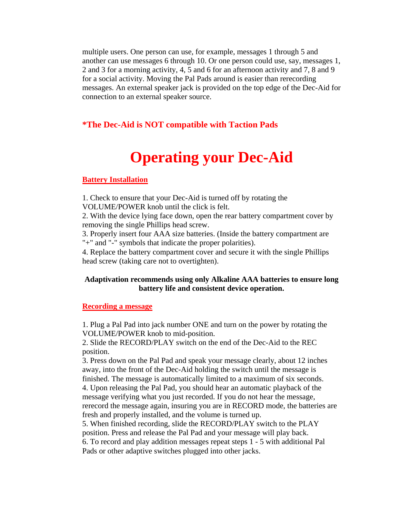multiple users. One person can use, for example, messages 1 through 5 and another can use messages 6 through 10. Or one person could use, say, messages 1, 2 and 3 for a morning activity, 4, 5 and 6 for an afternoon activity and 7, 8 and 9 for a social activity. Moving the Pal Pads around is easier than rerecording messages. An external speaker jack is provided on the top edge of the Dec-Aid for connection to an external speaker source.

### **\*The Dec-Aid is NOT compatible with Taction Pads**

# **Operating your Dec-Aid**

#### **Battery Installation**

1. Check to ensure that your Dec-Aid is turned off by rotating the VOLUME/POWER knob until the click is felt.

2. With the device lying face down, open the rear battery compartment cover by removing the single Phillips head screw.

3. Properly insert four AAA size batteries. (Inside the battery compartment are "+" and "-" symbols that indicate the proper polarities).

4. Replace the battery compartment cover and secure it with the single Phillips head screw (taking care not to overtighten).

#### **Adaptivation recommends using only Alkaline AAA batteries to ensure long battery life and consistent device operation.**

#### **Recording a message**

1. Plug a Pal Pad into jack number ONE and turn on the power by rotating the VOLUME/POWER knob to mid-position.

2. Slide the RECORD/PLAY switch on the end of the Dec-Aid to the REC position.

3. Press down on the Pal Pad and speak your message clearly, about 12 inches away, into the front of the Dec-Aid holding the switch until the message is finished. The message is automatically limited to a maximum of six seconds. 4. Upon releasing the Pal Pad, you should hear an automatic playback of the message verifying what you just recorded. If you do not hear the message, rerecord the message again, insuring you are in RECORD mode, the batteries are fresh and properly installed, and the volume is turned up.

5. When finished recording, slide the RECORD/PLAY switch to the PLAY position. Press and release the Pal Pad and your message will play back. 6. To record and play addition messages repeat steps 1 - 5 with additional Pal Pads or other adaptive switches plugged into other jacks.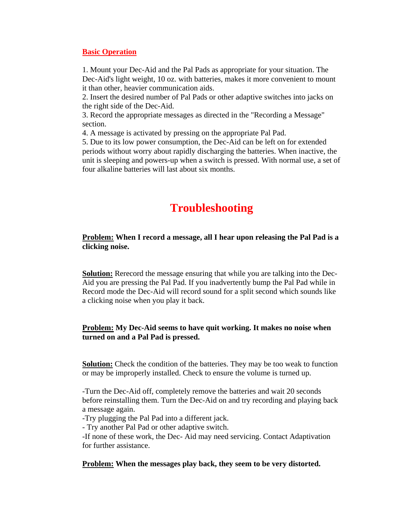#### **Basic Operation**

1. Mount your Dec-Aid and the Pal Pads as appropriate for your situation. The Dec-Aid's light weight, 10 oz. with batteries, makes it more convenient to mount it than other, heavier communication aids.

2. Insert the desired number of Pal Pads or other adaptive switches into jacks on the right side of the Dec-Aid.

3. Record the appropriate messages as directed in the "Recording a Message" section.

4. A message is activated by pressing on the appropriate Pal Pad.

5. Due to its low power consumption, the Dec-Aid can be left on for extended periods without worry about rapidly discharging the batteries. When inactive, the unit is sleeping and powers-up when a switch is pressed. With normal use, a set of four alkaline batteries will last about six months.

# **Troubleshooting**

## **Problem: When I record a message, all I hear upon releasing the Pal Pad is a clicking noise.**

**Solution:** Rerecord the message ensuring that while you are talking into the Dec-Aid you are pressing the Pal Pad. If you inadvertently bump the Pal Pad while in Record mode the Dec-Aid will record sound for a split second which sounds like a clicking noise when you play it back.

## **Problem: My Dec-Aid seems to have quit working. It makes no noise when turned on and a Pal Pad is pressed.**

**Solution:** Check the condition of the batteries. They may be too weak to function or may be improperly installed. Check to ensure the volume is turned up.

-Turn the Dec-Aid off, completely remove the batteries and wait 20 seconds before reinstalling them. Turn the Dec-Aid on and try recording and playing back a message again.

-Try plugging the Pal Pad into a different jack.

- Try another Pal Pad or other adaptive switch.

-If none of these work, the Dec- Aid may need servicing. Contact Adaptivation for further assistance.

### **Problem: When the messages play back, they seem to be very distorted.**